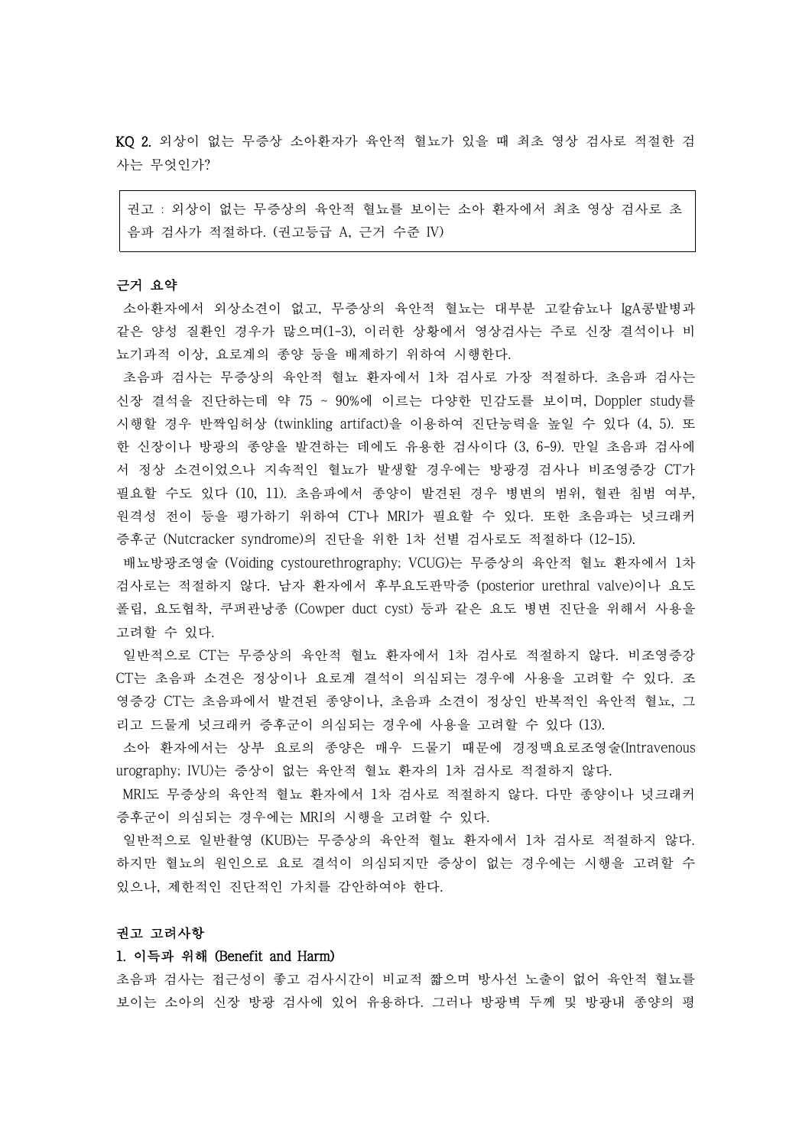KQ 2. 외상이 없는 무증상 소아환자가 육안적 혈뇨가 있을 때 최초 영상 검사로 적절한 검 사는 무엇인가?

권고 : 외상이 없는 무증상의 육안적 혈뇨를 보이는 소아 환자에서 최초 영상 검사로 초 음파 검사가 적절하다. (권고등급 A, 근거 수준 IV)

#### 근거 요약

소아환자에서 외상소견이 없고, 무증상의 육안적 혈뇨는 대부분 고칼슘뇨나 IgA콩밭병과 같은 양성 질환인 경우가 많으며(1-3), 이러한 상황에서 영상검사는 주로 신장 결석이나 비 뇨기과적 이상, 요로계의 종양 등을 배제하기 위하여 시행한다.<br>-<br>초음파 검사는 무증상의 육안적 혈뇨 환자에서 1차 검사로 가장 적절하다. 초음파 검사는

신장 결석을 진단하는데 약 75 ~ 90%에 이르는 다양한 민감도를 보이며, Doppler study를 시행할 경우 반짝임허상 (twinkling artifact)을 이용하여 진단능력을 높일 수 있다 (4, 5). 또 한 신장이나 방광의 종양을 발견하는 데에도 유용한 검사이다 (3, 6-9). 만일 초음파 검사에 서 정상 소견이었으나 지속적인 혈뇨가 발생할 경우에는 방광경 검사나 비조영증강 CT가 필요할 수도 있다 (10, 11). 초음파에서 종양이 발견된 경우 병변의 범위, 혈관 침범 여부,<br>원격성 전이 등을 평가하기 위하여 CT나 MRI가 필요할 수 있다. 또한 초음파는 넛크래커 증후군 (Nutcracker syndrome)의 진단을 위한 1차 선별 검사로도 적절하다 (12-15).

배뇨방광조영술 (Voiding cystourethrography; VCUG)는 무증상의 육안적 혈뇨 환자에서 1차 검사로는 적절하지 않다. 남자 환자에서 후부요도판막증 (posterior urethral valve)이나 요도 폴립, 요도협착, 쿠퍼관낭종 (Cowper duct cyst) 등과 같은 요도 병변 진단을 위해서 사용을 고려할 수 있다.<br>-<br>일반적으로 CT는 무증상의 육안적 혈뇨 환자에서 1차 검사로 적절하지 않다. 비조영증강

CT는 초음파 소견은 정상이나 요로계 결석이 의심되는 경우에 사용을 고려할 수 있다. 조 영증강 CT는 초음파에서 발견된 종양이나, 초음파 소견이 정상인 반복적인 육안적 혈뇨, 그 리고 드물게 넛크래커 증후군이 의심되는 경우에 사용을 고려할 수 있다 (13).

소아 환자에서는 상부 요로의 종양은 매우 드물기 때문에 경정맥요로조영술(Intravenous urography; IVU)는 증상이 없는 육안적 혈뇨 환자의 1차 검사로 적절하지 않다.<br>MRI도 무증상의 육안적 혈뇨 환자에서 1차 검사로 적절하지 않다. 다만 종양이나 넛크래커

증후군이 의심되는 경우에는 MRI의 시행을 고려할 수 있다.

일반적으로 일반촬영 (KUB)는 무증상의 육안적 혈뇨 환자에서 1차 검사로 적절하지 않다.<br>하지만 혈뇨의 원인으로 요로 결석이 의심되지만 증상이 없는 경우에는 시행을 고려할 수 있으나, 제한적인 진단적인 가치를 감안하여야 한다.

# 권고 고려사항

#### 1. 이득과 위해 (Benefit and Harm)

초음파 검사는 접근성이 좋고 검사시간이 비교적 짧으며 방사선 노출이 없어 육안적 혈뇨를 보이는 소아의 신장 방광 검사에 있어 유용하다. 그러나 방광벽 두께 및 방광내 종양의 평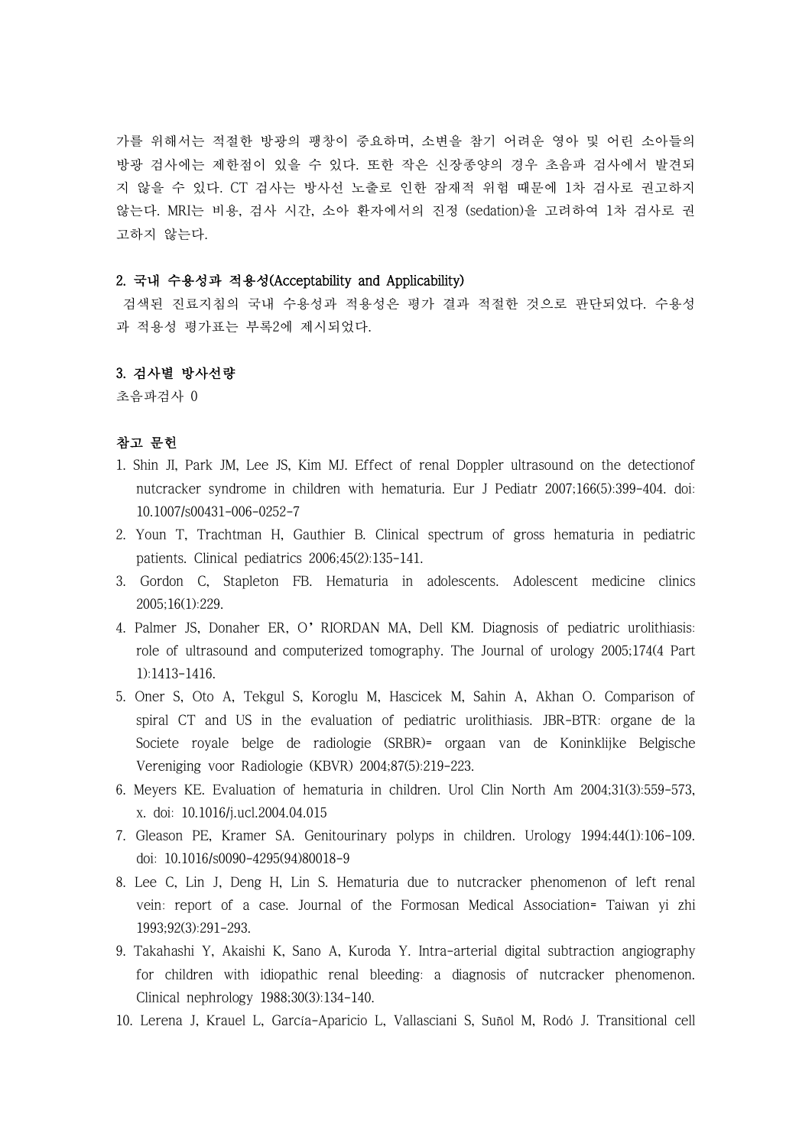가를 위해서는 적절한 방광의 팽창이 중요하며, 소변을 참기 어려운 영아 및 어린 소아들의 방광 검사에는 제한점이 있을 수 있다. 또한 작은 신장종양의 경우 초음파 검사에서 발견되 지 않을 수 있다. CT 검사는 방사선 노출로 인한 잠재적 위험 때문에 1차 검사로 권고하지 않는다. MRI는 비용, 검사 시간, 소아 환자에서의 진정 (sedation)을 고려하여 1차 검사로 권 고하지 않는다.

## 2. 국내 수용성과 적용성(Acceptability and Applicability)

검색된 진료지침의 국내 수용성과 적용성은 평가 결과 적절한 것으로 판단되었다. 수용성 과 적용성 평가표는 부록2에 제시되었다.

### 3. 검사별 방사선량

초음파검사 0

## 참고 문헌

- 1. Shin JI, Park JM, Lee JS, Kim MJ. Effect of renal Doppler ultrasound on the detectionof nutcracker syndrome in children with hematuria. Eur J Pediatr 2007;166(5):399-404. doi: 10.1007/s00431-006-0252-7
- 2. Youn T, Trachtman H, Gauthier B. Clinical spectrum of gross hematuria in pediatric patients. Clinical pediatrics 2006;45(2):135-141.
- 3. Gordon C, Stapleton FB. Hematuria in adolescents. Adolescent medicine clinics 2005;16(1):229.
- 4. Palmer JS, Donaher ER, O'RIORDAN MA, Dell KM. Diagnosis of pediatric urolithiasis: role of ultrasound and computerized tomography. The Journal of urology 2005;174(4 Part 1):1413-1416.
- 5. Oner S, Oto A, Tekgul S, Koroglu M, Hascicek M, Sahin A, Akhan O. Comparison of spiral CT and US in the evaluation of pediatric urolithiasis. JBR-BTR: organe de la Societe royale belge de radiologie (SRBR)= orgaan van de Koninklijke Belgische Vereniging voor Radiologie (KBVR) 2004;87(5):219-223.
- 6. Meyers KE. Evaluation of hematuria in children. Urol Clin North Am 2004;31(3):559-573, x. doi: 10.1016/j.ucl.2004.04.015
- 7. Gleason PE, Kramer SA. Genitourinary polyps in children. Urology 1994;44(1):106-109. doi: 10.1016/s0090-4295(94)80018-9
- 8. Lee C, Lin J, Deng H, Lin S. Hematuria due to nutcracker phenomenon of left renal vein: report of a case. Journal of the Formosan Medical Association= Taiwan yi zhi 1993;92(3):291-293.
- 9. Takahashi Y, Akaishi K, Sano A, Kuroda Y. Intra-arterial digital subtraction angiography for children with idiopathic renal bleeding: a diagnosis of nutcracker phenomenon. Clinical nephrology 1988;30(3):134-140.
- 10. Lerena J, Krauel L, García-Aparicio L, Vallasciani S, Suñol M, Rodó J. Transitional cell